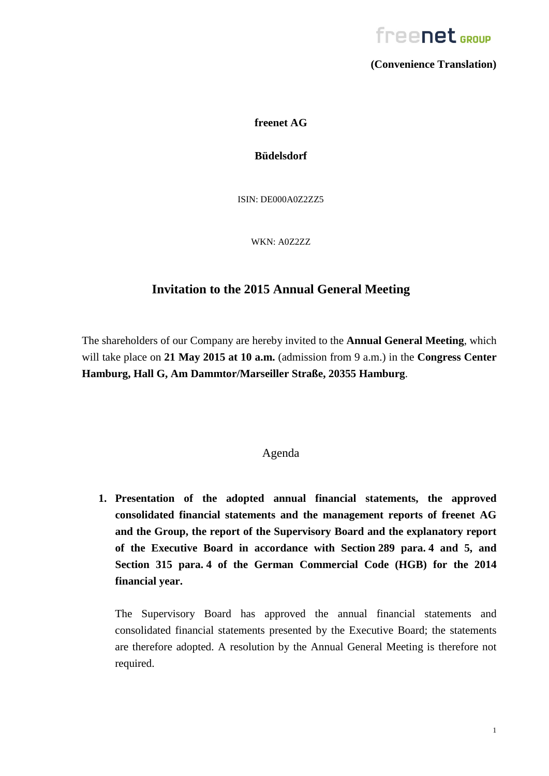

**(Convenience Translation)**

**freenet AG**

**Büdelsdorf**

ISIN: DE000A0Z2ZZ5

WKN: A0Z2ZZ

## **Invitation to the 2015 Annual General Meeting**

The shareholders of our Company are hereby invited to the **Annual General Meeting**, which will take place on **21 May 2015 at 10 a.m.** (admission from 9 a.m.) in the **Congress Center Hamburg, Hall G, Am Dammtor/Marseiller Straße, 20355 Hamburg**.

### Agenda

**1. Presentation of the adopted annual financial statements, the approved consolidated financial statements and the management reports of freenet AG and the Group, the report of the Supervisory Board and the explanatory report of the Executive Board in accordance with Section 289 para. 4 and 5, and Section 315 para. 4 of the German Commercial Code (HGB) for the 2014 financial year.**

The Supervisory Board has approved the annual financial statements and consolidated financial statements presented by the Executive Board; the statements are therefore adopted. A resolution by the Annual General Meeting is therefore not required.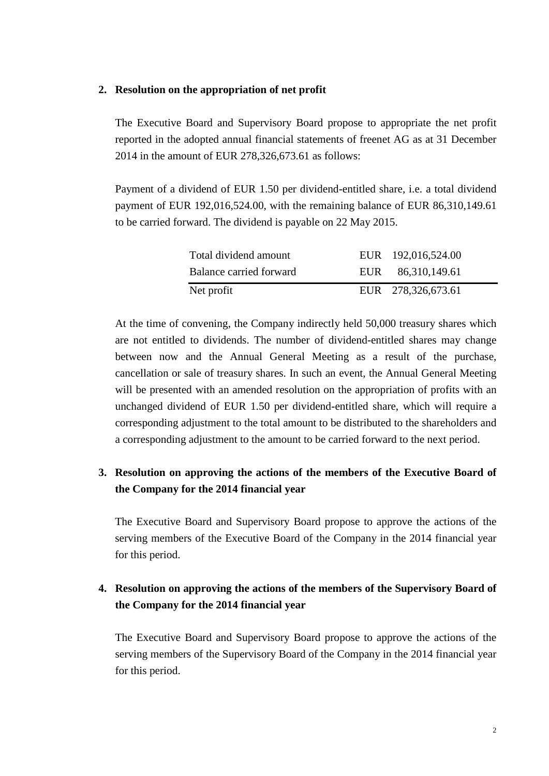#### **2. Resolution on the appropriation of net profit**

The Executive Board and Supervisory Board propose to appropriate the net profit reported in the adopted annual financial statements of freenet AG as at 31 December 2014 in the amount of EUR 278,326,673.61 as follows:

Payment of a dividend of EUR 1.50 per dividend-entitled share, i.e. a total dividend payment of EUR 192,016,524.00, with the remaining balance of EUR 86,310,149.61 to be carried forward. The dividend is payable on 22 May 2015.

| Total dividend amount   |     | EUR 192,016,524.00 |
|-------------------------|-----|--------------------|
| Balance carried forward | EUR | 86,310,149.61      |
| Net profit              |     | EUR 278,326,673.61 |

At the time of convening, the Company indirectly held 50,000 treasury shares which are not entitled to dividends. The number of dividend-entitled shares may change between now and the Annual General Meeting as a result of the purchase, cancellation or sale of treasury shares. In such an event, the Annual General Meeting will be presented with an amended resolution on the appropriation of profits with an unchanged dividend of EUR 1.50 per dividend-entitled share, which will require a corresponding adjustment to the total amount to be distributed to the shareholders and a corresponding adjustment to the amount to be carried forward to the next period.

## **3. Resolution on approving the actions of the members of the Executive Board of the Company for the 2014 financial year**

The Executive Board and Supervisory Board propose to approve the actions of the serving members of the Executive Board of the Company in the 2014 financial year for this period.

## **4. Resolution on approving the actions of the members of the Supervisory Board of the Company for the 2014 financial year**

The Executive Board and Supervisory Board propose to approve the actions of the serving members of the Supervisory Board of the Company in the 2014 financial year for this period.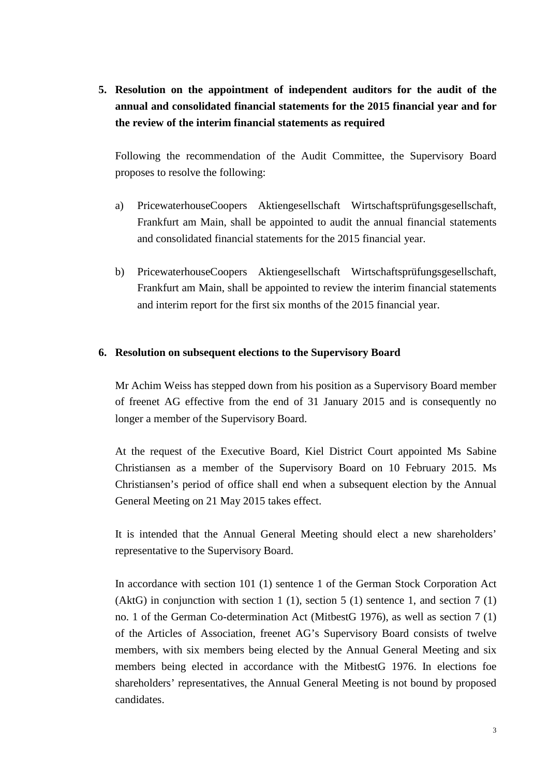**5. Resolution on the appointment of independent auditors for the audit of the annual and consolidated financial statements for the 2015 financial year and for the review of the interim financial statements as required**

Following the recommendation of the Audit Committee, the Supervisory Board proposes to resolve the following:

- a) PricewaterhouseCoopers Aktiengesellschaft Wirtschaftsprüfungsgesellschaft, Frankfurt am Main, shall be appointed to audit the annual financial statements and consolidated financial statements for the 2015 financial year.
- b) PricewaterhouseCoopers Aktiengesellschaft Wirtschaftsprüfungsgesellschaft, Frankfurt am Main, shall be appointed to review the interim financial statements and interim report for the first six months of the 2015 financial year.

#### **6. Resolution on subsequent elections to the Supervisory Board**

Mr Achim Weiss has stepped down from his position as a Supervisory Board member of freenet AG effective from the end of 31 January 2015 and is consequently no longer a member of the Supervisory Board.

At the request of the Executive Board, Kiel District Court appointed Ms Sabine Christiansen as a member of the Supervisory Board on 10 February 2015. Ms Christiansen's period of office shall end when a subsequent election by the Annual General Meeting on 21 May 2015 takes effect.

It is intended that the Annual General Meeting should elect a new shareholders' representative to the Supervisory Board.

In accordance with section 101 (1) sentence 1 of the German Stock Corporation Act (AktG) in conjunction with section 1 (1), section 5 (1) sentence 1, and section 7 (1) no. 1 of the German Co-determination Act (MitbestG 1976), as well as section 7 (1) of the Articles of Association, freenet AG's Supervisory Board consists of twelve members, with six members being elected by the Annual General Meeting and six members being elected in accordance with the MitbestG 1976. In elections foe shareholders' representatives, the Annual General Meeting is not bound by proposed candidates.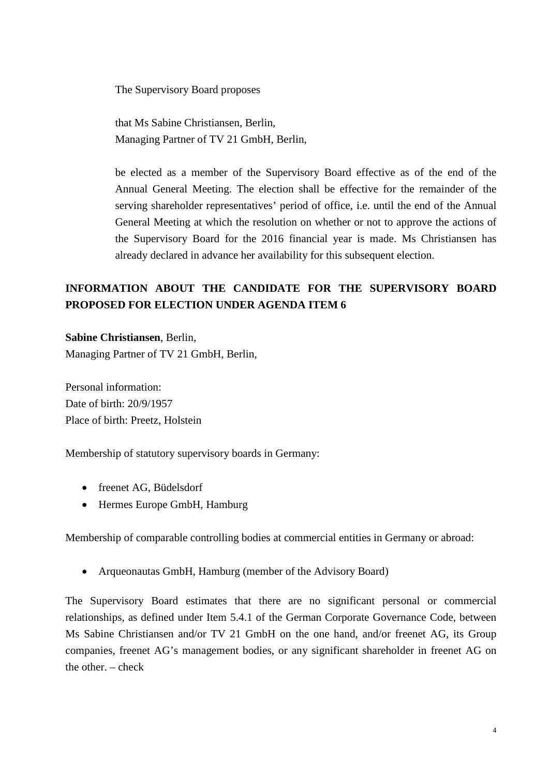The Supervisory Board proposes

that Ms Sabine Christiansen, Berlin, Managing Partner of TV 21 GmbH, Berlin,

be elected as a member of the Supervisory Board effective as of the end of the Annual General Meeting. The election shall be effective for the remainder of the serving shareholder representatives' period of office, i.e. until the end of the Annual General Meeting at which the resolution on whether or not to approve the actions of the Supervisory Board for the 2016 financial year is made. Ms Christiansen has already declared in advance her availability for this subsequent election.

# **INFORMATION ABOUT THE CANDIDATE FOR THE SUPERVISORY BOARD PROPOSED FOR ELECTION UNDER AGENDA ITEM 6**

**Sabine Christiansen**, Berlin,

Managing Partner of TV 21 GmbH, Berlin,

Personal information: Date of birth: 20/9/1957 Place of birth: Preetz, Holstein

Membership of statutory supervisory boards in Germany:

- freenet AG, Büdelsdorf
- Hermes Europe GmbH, Hamburg

Membership of comparable controlling bodies at commercial entities in Germany or abroad:

• Arqueonautas GmbH, Hamburg (member of the Advisory Board)

The Supervisory Board estimates that there are no significant personal or commercial relationships, as defined under Item 5.4.1 of the German Corporate Governance Code, between Ms Sabine Christiansen and/or TV 21 GmbH on the one hand, and/or freenet AG, its Group companies, freenet AG's management bodies, or any significant shareholder in freenet AG on the other. – check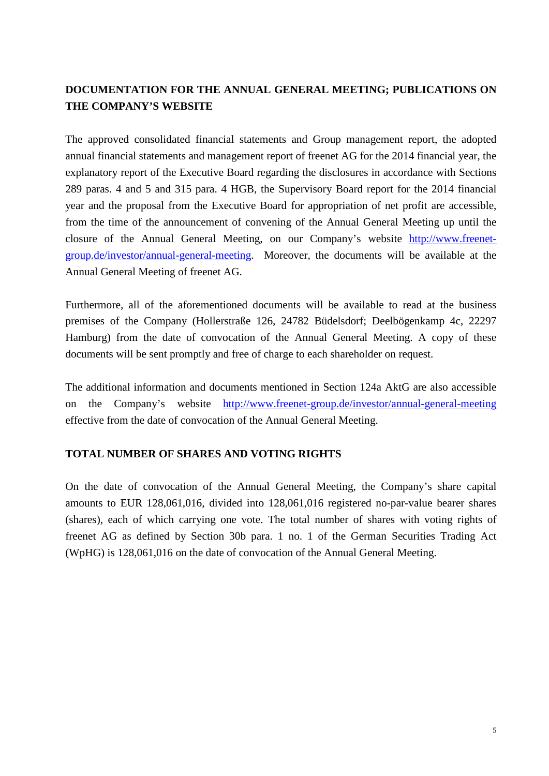# **DOCUMENTATION FOR THE ANNUAL GENERAL MEETING; PUBLICATIONS ON THE COMPANY'S WEBSITE**

The approved consolidated financial statements and Group management report, the adopted annual financial statements and management report of freenet AG for the 2014 financial year, the explanatory report of the Executive Board regarding the disclosures in accordance with Sections 289 paras. 4 and 5 and 315 para. 4 HGB, the Supervisory Board report for the 2014 financial year and the proposal from the Executive Board for appropriation of net profit are accessible, from the time of the announcement of convening of the Annual General Meeting up until the closure of the Annual General Meeting, on our Company's website [http://www.freenet](http://www.freenet-group.de/investor/annual-general-meeting)[group.de/investor/annual-general-meeting.](http://www.freenet-group.de/investor/annual-general-meeting) Moreover, the documents will be available at the Annual General Meeting of freenet AG.

Furthermore, all of the aforementioned documents will be available to read at the business premises of the Company (Hollerstraße 126, 24782 Büdelsdorf; Deelbögenkamp 4c, 22297 Hamburg) from the date of convocation of the Annual General Meeting. A copy of these documents will be sent promptly and free of charge to each shareholder on request.

The additional information and documents mentioned in Section 124a AktG are also accessible on the Company's website <http://www.freenet-group.de/investor/annual-general-meeting> effective from the date of convocation of the Annual General Meeting.

### **TOTAL NUMBER OF SHARES AND VOTING RIGHTS**

On the date of convocation of the Annual General Meeting, the Company's share capital amounts to EUR 128,061,016, divided into 128,061,016 registered no-par-value bearer shares (shares), each of which carrying one vote. The total number of shares with voting rights of freenet AG as defined by Section 30b para. 1 no. 1 of the German Securities Trading Act (WpHG) is 128,061,016 on the date of convocation of the Annual General Meeting.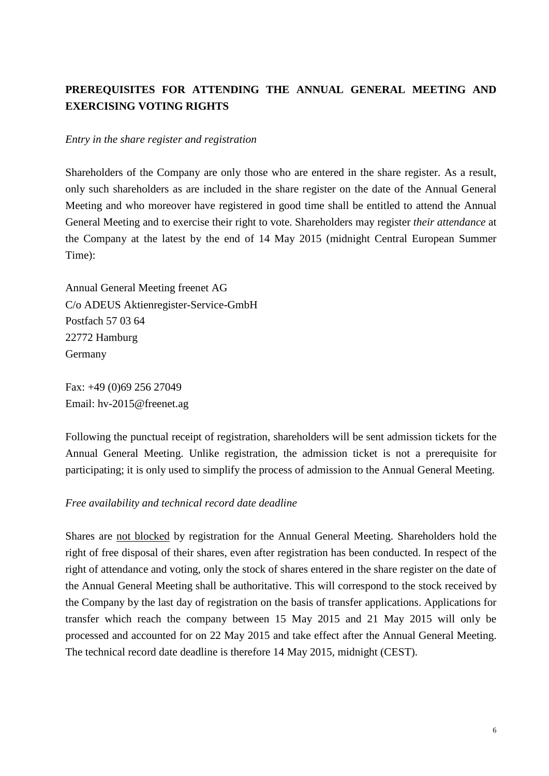# **PREREQUISITES FOR ATTENDING THE ANNUAL GENERAL MEETING AND EXERCISING VOTING RIGHTS**

#### *Entry in the share register and registration*

Shareholders of the Company are only those who are entered in the share register. As a result, only such shareholders as are included in the share register on the date of the Annual General Meeting and who moreover have registered in good time shall be entitled to attend the Annual General Meeting and to exercise their right to vote. Shareholders may register *their attendance* at the Company at the latest by the end of 14 May 2015 (midnight Central European Summer Time):

Annual General Meeting freenet AG C/o ADEUS Aktienregister-Service-GmbH Postfach 57 03 64 22772 Hamburg Germany

Fax: +49 (0)69 256 27049 Email: hv-2015@freenet.ag

Following the punctual receipt of registration, shareholders will be sent admission tickets for the Annual General Meeting. Unlike registration, the admission ticket is not a prerequisite for participating; it is only used to simplify the process of admission to the Annual General Meeting.

### *Free availability and technical record date deadline*

Shares are not blocked by registration for the Annual General Meeting. Shareholders hold the right of free disposal of their shares, even after registration has been conducted. In respect of the right of attendance and voting, only the stock of shares entered in the share register on the date of the Annual General Meeting shall be authoritative. This will correspond to the stock received by the Company by the last day of registration on the basis of transfer applications. Applications for transfer which reach the company between 15 May 2015 and 21 May 2015 will only be processed and accounted for on 22 May 2015 and take effect after the Annual General Meeting. The technical record date deadline is therefore 14 May 2015, midnight (CEST).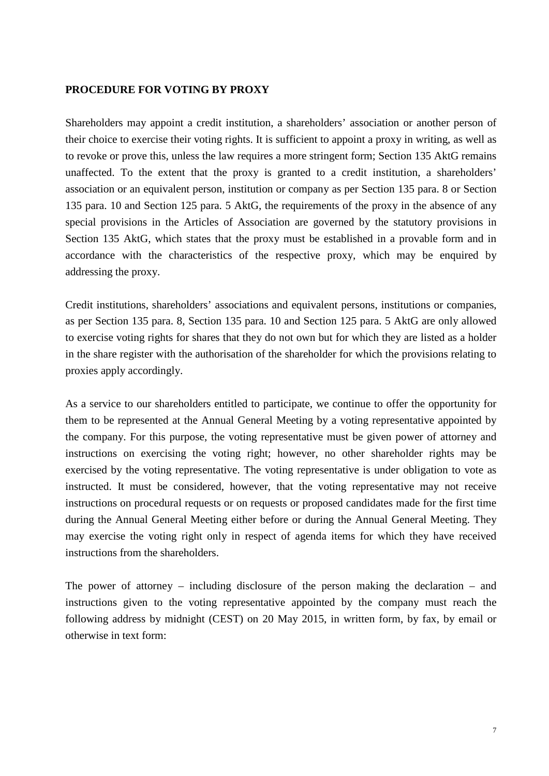#### **PROCEDURE FOR VOTING BY PROXY**

Shareholders may appoint a credit institution, a shareholders' association or another person of their choice to exercise their voting rights. It is sufficient to appoint a proxy in writing, as well as to revoke or prove this, unless the law requires a more stringent form; Section 135 AktG remains unaffected. To the extent that the proxy is granted to a credit institution, a shareholders' association or an equivalent person, institution or company as per Section 135 para. 8 or Section 135 para. 10 and Section 125 para. 5 AktG, the requirements of the proxy in the absence of any special provisions in the Articles of Association are governed by the statutory provisions in Section 135 AktG, which states that the proxy must be established in a provable form and in accordance with the characteristics of the respective proxy, which may be enquired by addressing the proxy.

Credit institutions, shareholders' associations and equivalent persons, institutions or companies, as per Section 135 para. 8, Section 135 para. 10 and Section 125 para. 5 AktG are only allowed to exercise voting rights for shares that they do not own but for which they are listed as a holder in the share register with the authorisation of the shareholder for which the provisions relating to proxies apply accordingly.

As a service to our shareholders entitled to participate, we continue to offer the opportunity for them to be represented at the Annual General Meeting by a voting representative appointed by the company. For this purpose, the voting representative must be given power of attorney and instructions on exercising the voting right; however, no other shareholder rights may be exercised by the voting representative. The voting representative is under obligation to vote as instructed. It must be considered, however, that the voting representative may not receive instructions on procedural requests or on requests or proposed candidates made for the first time during the Annual General Meeting either before or during the Annual General Meeting. They may exercise the voting right only in respect of agenda items for which they have received instructions from the shareholders.

The power of attorney – including disclosure of the person making the declaration – and instructions given to the voting representative appointed by the company must reach the following address by midnight (CEST) on 20 May 2015, in written form, by fax, by email or otherwise in text form: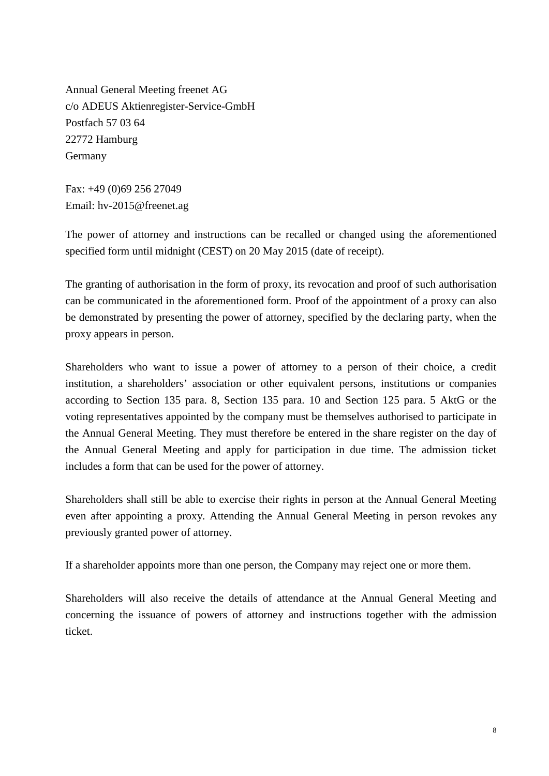Annual General Meeting freenet AG c/o ADEUS Aktienregister-Service-GmbH Postfach 57 03 64 22772 Hamburg Germany

Fax: +49 (0)69 256 27049 Email: hv-2015@freenet.ag

The power of attorney and instructions can be recalled or changed using the aforementioned specified form until midnight (CEST) on 20 May 2015 (date of receipt).

The granting of authorisation in the form of proxy, its revocation and proof of such authorisation can be communicated in the aforementioned form. Proof of the appointment of a proxy can also be demonstrated by presenting the power of attorney, specified by the declaring party, when the proxy appears in person.

Shareholders who want to issue a power of attorney to a person of their choice, a credit institution, a shareholders' association or other equivalent persons, institutions or companies according to Section 135 para. 8, Section 135 para. 10 and Section 125 para. 5 AktG or the voting representatives appointed by the company must be themselves authorised to participate in the Annual General Meeting. They must therefore be entered in the share register on the day of the Annual General Meeting and apply for participation in due time. The admission ticket includes a form that can be used for the power of attorney.

Shareholders shall still be able to exercise their rights in person at the Annual General Meeting even after appointing a proxy. Attending the Annual General Meeting in person revokes any previously granted power of attorney.

If a shareholder appoints more than one person, the Company may reject one or more them.

Shareholders will also receive the details of attendance at the Annual General Meeting and concerning the issuance of powers of attorney and instructions together with the admission ticket.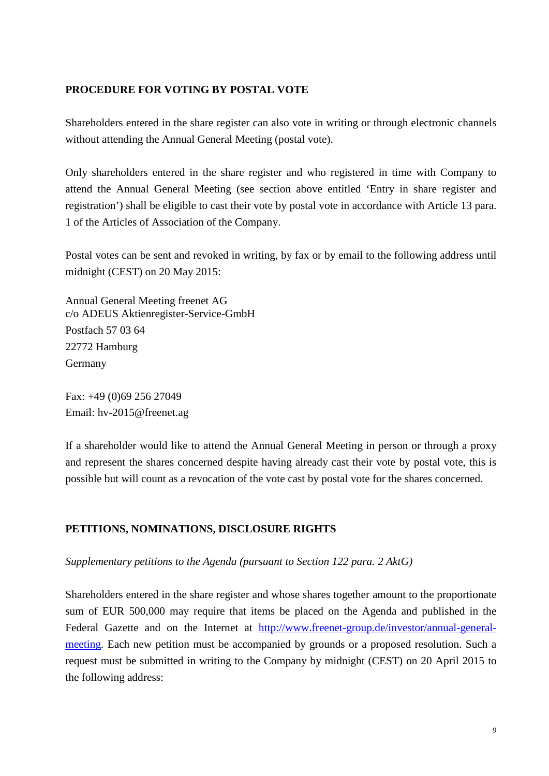#### **PROCEDURE FOR VOTING BY POSTAL VOTE**

Shareholders entered in the share register can also vote in writing or through electronic channels without attending the Annual General Meeting (postal vote).

Only shareholders entered in the share register and who registered in time with Company to attend the Annual General Meeting (see section above entitled 'Entry in share register and registration') shall be eligible to cast their vote by postal vote in accordance with Article 13 para. 1 of the Articles of Association of the Company.

Postal votes can be sent and revoked in writing, by fax or by email to the following address until midnight (CEST) on 20 May 2015:

Annual General Meeting freenet AG c/o ADEUS Aktienregister-Service-GmbH Postfach 57 03 64 22772 Hamburg Germany

Fax: +49 (0)69 256 27049 Email: hv-2015@freenet.ag

If a shareholder would like to attend the Annual General Meeting in person or through a proxy and represent the shares concerned despite having already cast their vote by postal vote, this is possible but will count as a revocation of the vote cast by postal vote for the shares concerned.

### **PETITIONS, NOMINATIONS, DISCLOSURE RIGHTS**

#### *Supplementary petitions to the Agenda (pursuant to Section 122 para. 2 AktG)*

Shareholders entered in the share register and whose shares together amount to the proportionate sum of EUR 500,000 may require that items be placed on the Agenda and published in the Federal Gazette and on the Internet at [http://www.freenet-group.de/investor/annual-general](http://www.freenet-group.de/investor/annual-general-meeting)[meeting.](http://www.freenet-group.de/investor/annual-general-meeting) Each new petition must be accompanied by grounds or a proposed resolution. Such a request must be submitted in writing to the Company by midnight (CEST) on 20 April 2015 to the following address: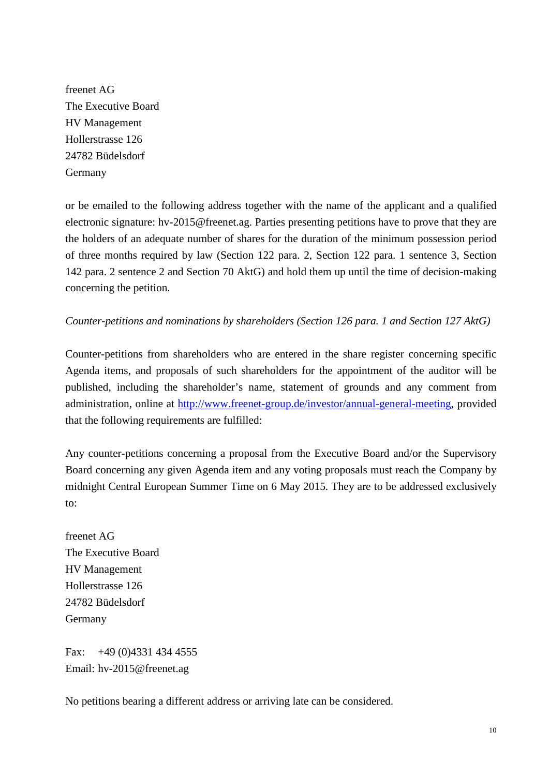freenet AG The Executive Board HV Management Hollerstrasse 126 24782 Büdelsdorf Germany

or be emailed to the following address together with the name of the applicant and a qualified electronic signature: hv-2015@freenet.ag. Parties presenting petitions have to prove that they are the holders of an adequate number of shares for the duration of the minimum possession period of three months required by law (Section 122 para. 2, Section 122 para. 1 sentence 3, Section 142 para. 2 sentence 2 and Section 70 AktG) and hold them up until the time of decision-making concerning the petition.

### *Counter-petitions and nominations by shareholders (Section 126 para. 1 and Section 127 AktG)*

Counter-petitions from shareholders who are entered in the share register concerning specific Agenda items, and proposals of such shareholders for the appointment of the auditor will be published, including the shareholder's name, statement of grounds and any comment from administration, online at [http://www.freenet-group.de/investor/annual-general-meeting,](http://www.freenet-group.de/investor/annual-general-meeting/2014) provided that the following requirements are fulfilled:

Any counter-petitions concerning a proposal from the Executive Board and/or the Supervisory Board concerning any given Agenda item and any voting proposals must reach the Company by midnight Central European Summer Time on 6 May 2015. They are to be addressed exclusively to:

freenet AG The Executive Board HV Management Hollerstrasse 126 24782 Büdelsdorf Germany

Fax: +49 (0)4331 434 4555 Email: hv-2015@freenet.ag

No petitions bearing a different address or arriving late can be considered.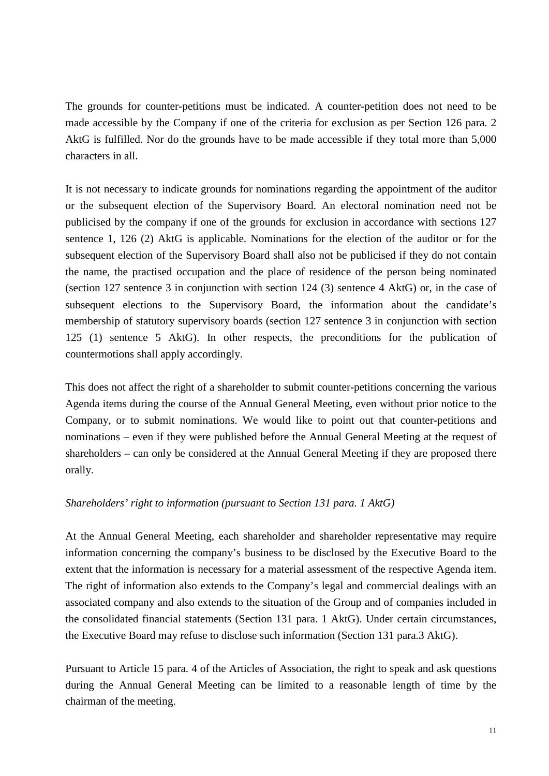The grounds for counter-petitions must be indicated. A counter-petition does not need to be made accessible by the Company if one of the criteria for exclusion as per Section 126 para. 2 AktG is fulfilled. Nor do the grounds have to be made accessible if they total more than 5,000 characters in all.

It is not necessary to indicate grounds for nominations regarding the appointment of the auditor or the subsequent election of the Supervisory Board. An electoral nomination need not be publicised by the company if one of the grounds for exclusion in accordance with sections 127 sentence 1, 126 (2) AktG is applicable. Nominations for the election of the auditor or for the subsequent election of the Supervisory Board shall also not be publicised if they do not contain the name, the practised occupation and the place of residence of the person being nominated (section 127 sentence 3 in conjunction with section 124 (3) sentence 4 AktG) or, in the case of subsequent elections to the Supervisory Board, the information about the candidate's membership of statutory supervisory boards (section 127 sentence 3 in conjunction with section 125 (1) sentence 5 AktG). In other respects, the preconditions for the publication of countermotions shall apply accordingly.

This does not affect the right of a shareholder to submit counter-petitions concerning the various Agenda items during the course of the Annual General Meeting, even without prior notice to the Company, or to submit nominations. We would like to point out that counter-petitions and nominations – even if they were published before the Annual General Meeting at the request of shareholders – can only be considered at the Annual General Meeting if they are proposed there orally.

#### *Shareholders' right to information (pursuant to Section 131 para. 1 AktG)*

At the Annual General Meeting, each shareholder and shareholder representative may require information concerning the company's business to be disclosed by the Executive Board to the extent that the information is necessary for a material assessment of the respective Agenda item. The right of information also extends to the Company's legal and commercial dealings with an associated company and also extends to the situation of the Group and of companies included in the consolidated financial statements (Section 131 para. 1 AktG). Under certain circumstances, the Executive Board may refuse to disclose such information (Section 131 para.3 AktG).

Pursuant to Article 15 para. 4 of the Articles of Association, the right to speak and ask questions during the Annual General Meeting can be limited to a reasonable length of time by the chairman of the meeting.